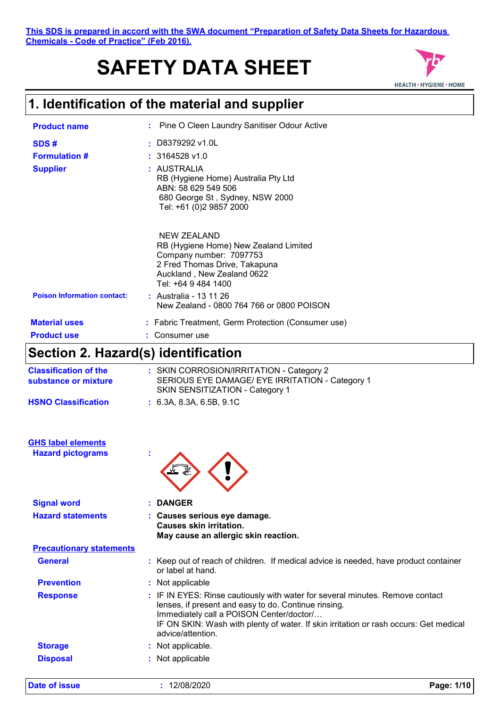# **SAFETY DATA SHEET**



### **1. Identification of the material and supplier**

| <b>Product name</b>                | : Pine O Cleen Laundry Sanitiser Odour Active                                                                                                                         |
|------------------------------------|-----------------------------------------------------------------------------------------------------------------------------------------------------------------------|
| SDS#                               | $\pm$ D8379292 v1.0L                                                                                                                                                  |
| <b>Formulation #</b>               | $: 3164528$ v1.0                                                                                                                                                      |
| <b>Supplier</b>                    | : AUSTRALIA<br>RB (Hygiene Home) Australia Pty Ltd<br>ABN: 58 629 549 506<br>680 George St, Sydney, NSW 2000<br>Tel: +61 (0)2 9857 2000                               |
|                                    | NEW ZEALAND<br>RB (Hygiene Home) New Zealand Limited<br>Company number: 7097753<br>2 Fred Thomas Drive, Takapuna<br>Auckland, New Zealand 0622<br>Tel: +64 9 484 1400 |
| <b>Poison Information contact:</b> | : Australia - 13 11 26<br>New Zealand - 0800 764 766 or 0800 POISON                                                                                                   |
| <b>Material uses</b>               | : Fabric Treatment, Germ Protection (Consumer use)                                                                                                                    |
| <b>Product use</b>                 | : Consumer use                                                                                                                                                        |
|                                    | .                                                                                                                                                                     |

### **Section 2. Hazard(s) identification**

| <b>Classification of the</b><br>substance or mixture | : SKIN CORROSION/IRRITATION - Category 2<br>SERIOUS EYE DAMAGE/ EYE IRRITATION - Category 1<br>SKIN SENSITIZATION - Category 1 |
|------------------------------------------------------|--------------------------------------------------------------------------------------------------------------------------------|
| <b>HSNO Classification</b>                           | : 6.3A. 8.3A. 6.5B. 9.1C                                                                                                       |

| <b>GHS label elements</b> |  |
|---------------------------|--|
| <b>Hazard pictograms</b>  |  |



| <b>Signal word</b>              | : DANGER                                                                                                                                                                                                                                                                                        |
|---------------------------------|-------------------------------------------------------------------------------------------------------------------------------------------------------------------------------------------------------------------------------------------------------------------------------------------------|
| <b>Hazard statements</b>        | : Causes serious eye damage.<br>Causes skin irritation.<br>May cause an allergic skin reaction.                                                                                                                                                                                                 |
| <b>Precautionary statements</b> |                                                                                                                                                                                                                                                                                                 |
| <b>General</b>                  | : Keep out of reach of children. If medical advice is needed, have product container<br>or label at hand.                                                                                                                                                                                       |
| <b>Prevention</b>               | : Not applicable                                                                                                                                                                                                                                                                                |
| <b>Response</b>                 | : IF IN EYES: Rinse cautiously with water for several minutes. Remove contact<br>lenses, if present and easy to do. Continue rinsing.<br>Immediately call a POISON Center/doctor/<br>IF ON SKIN: Wash with plenty of water. If skin irritation or rash occurs: Get medical<br>advice/attention. |
| <b>Storage</b>                  | : Not applicable.                                                                                                                                                                                                                                                                               |
| <b>Disposal</b>                 | : Not applicable                                                                                                                                                                                                                                                                                |
|                                 |                                                                                                                                                                                                                                                                                                 |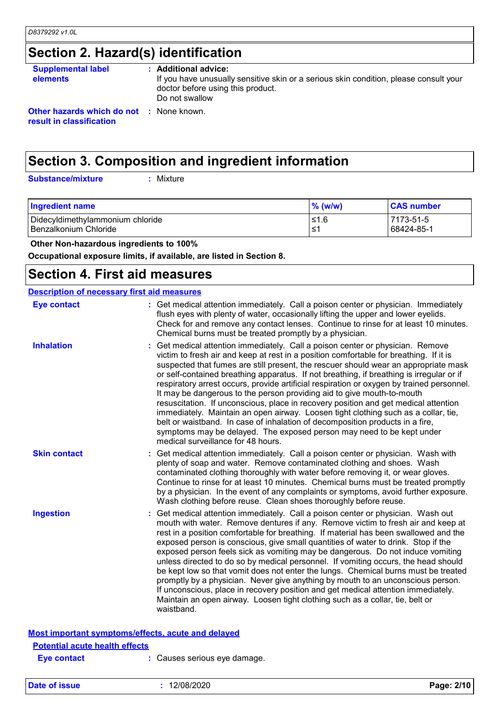# **Section 2. Hazard(s) identification**

| <b>Supplemental label</b><br><b>elements</b>                                | : Additional advice:<br>If you have unusually sensitive skin or a serious skin condition, please consult your<br>doctor before using this product. |
|-----------------------------------------------------------------------------|----------------------------------------------------------------------------------------------------------------------------------------------------|
| <b>Other hazards which do not : None known.</b><br>result in classification | Do not swallow                                                                                                                                     |

## **Section 3. Composition and ingredient information**

**Substance/mixture :**

: Mixture

| <b>Ingredient name</b>           | $\%$ (w/w) | <b>CAS number</b> |
|----------------------------------|------------|-------------------|
| Didecyldimethylammonium chloride | 1.6≥ا      | 7173-51-5         |
| l Benzalkonium Chloride          | ⊥≤1        | 68424-85-1        |

 **Other Non-hazardous ingredients to 100%**

**Occupational exposure limits, if available, are listed in Section 8.**

### **Section 4. First aid measures**

| <b>Description of necessary first aid measures</b> |                                                                                                                                                                                                                                                                                                                                                                                                                                                                                                                                                                                                                                                                                                                                                                                                                                                                                                               |
|----------------------------------------------------|---------------------------------------------------------------------------------------------------------------------------------------------------------------------------------------------------------------------------------------------------------------------------------------------------------------------------------------------------------------------------------------------------------------------------------------------------------------------------------------------------------------------------------------------------------------------------------------------------------------------------------------------------------------------------------------------------------------------------------------------------------------------------------------------------------------------------------------------------------------------------------------------------------------|
| <b>Eye contact</b>                                 | : Get medical attention immediately. Call a poison center or physician. Immediately<br>flush eyes with plenty of water, occasionally lifting the upper and lower eyelids.<br>Check for and remove any contact lenses. Continue to rinse for at least 10 minutes.<br>Chemical burns must be treated promptly by a physician.                                                                                                                                                                                                                                                                                                                                                                                                                                                                                                                                                                                   |
| <b>Inhalation</b>                                  | Get medical attention immediately. Call a poison center or physician. Remove<br>victim to fresh air and keep at rest in a position comfortable for breathing. If it is<br>suspected that fumes are still present, the rescuer should wear an appropriate mask<br>or self-contained breathing apparatus. If not breathing, if breathing is irregular or if<br>respiratory arrest occurs, provide artificial respiration or oxygen by trained personnel.<br>It may be dangerous to the person providing aid to give mouth-to-mouth<br>resuscitation. If unconscious, place in recovery position and get medical attention<br>immediately. Maintain an open airway. Loosen tight clothing such as a collar, tie,<br>belt or waistband. In case of inhalation of decomposition products in a fire,<br>symptoms may be delayed. The exposed person may need to be kept under<br>medical surveillance for 48 hours. |
| <b>Skin contact</b>                                | Get medical attention immediately. Call a poison center or physician. Wash with<br>plenty of soap and water. Remove contaminated clothing and shoes. Wash<br>contaminated clothing thoroughly with water before removing it, or wear gloves.<br>Continue to rinse for at least 10 minutes. Chemical burns must be treated promptly<br>by a physician. In the event of any complaints or symptoms, avoid further exposure.<br>Wash clothing before reuse. Clean shoes thoroughly before reuse.                                                                                                                                                                                                                                                                                                                                                                                                                 |
| <b>Ingestion</b>                                   | Get medical attention immediately. Call a poison center or physician. Wash out<br>mouth with water. Remove dentures if any. Remove victim to fresh air and keep at<br>rest in a position comfortable for breathing. If material has been swallowed and the<br>exposed person is conscious, give small quantities of water to drink. Stop if the<br>exposed person feels sick as vomiting may be dangerous. Do not induce vomiting<br>unless directed to do so by medical personnel. If vomiting occurs, the head should<br>be kept low so that vomit does not enter the lungs. Chemical burns must be treated<br>promptly by a physician. Never give anything by mouth to an unconscious person.<br>If unconscious, place in recovery position and get medical attention immediately.<br>Maintain an open airway. Loosen tight clothing such as a collar, tie, belt or<br>waistband.                          |
|                                                    | Most important symptoms/effects, acute and delayed                                                                                                                                                                                                                                                                                                                                                                                                                                                                                                                                                                                                                                                                                                                                                                                                                                                            |
| <b>Potential acute health effects</b>              |                                                                                                                                                                                                                                                                                                                                                                                                                                                                                                                                                                                                                                                                                                                                                                                                                                                                                                               |
| Eve contact                                        | Causes serious eve damage.                                                                                                                                                                                                                                                                                                                                                                                                                                                                                                                                                                                                                                                                                                                                                                                                                                                                                    |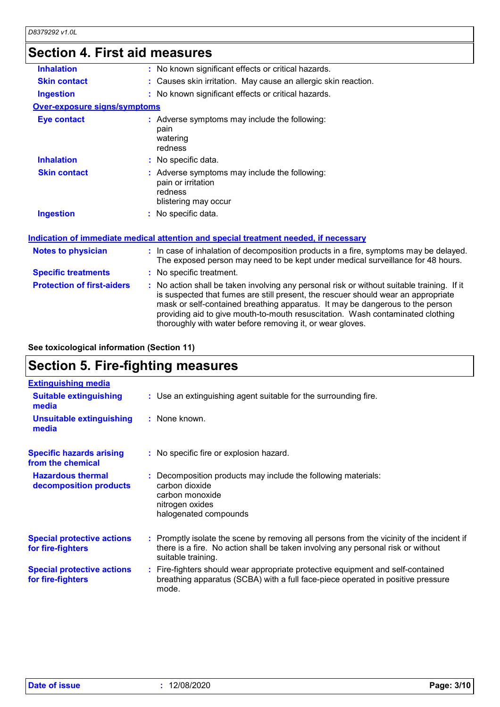### **Section 4. First aid measures**

| <b>Skin contact</b><br>: Causes skin irritation. May cause an allergic skin reaction.<br>: No known significant effects or critical hazards.<br><b>Ingestion</b><br><b>Over-exposure signs/symptoms</b><br><b>Eye contact</b><br>: Adverse symptoms may include the following:<br>pain<br>watering<br>redness<br><b>Inhalation</b><br>: No specific data.<br>: Adverse symptoms may include the following:<br><b>Skin contact</b><br>pain or irritation<br>redness<br>blistering may occur<br><b>Ingestion</b><br>: No specific data.<br>Indication of immediate medical attention and special treatment needed, if necessary<br><b>Notes to physician</b><br><b>Specific treatments</b><br>: No specific treatment.<br><b>Protection of first-aiders</b><br>is suspected that fumes are still present, the rescuer should wear an appropriate<br>mask or self-contained breathing apparatus. It may be dangerous to the person<br>providing aid to give mouth-to-mouth resuscitation. Wash contaminated clothing<br>thoroughly with water before removing it, or wear gloves. |                   |                                                                                                                                                                          |
|--------------------------------------------------------------------------------------------------------------------------------------------------------------------------------------------------------------------------------------------------------------------------------------------------------------------------------------------------------------------------------------------------------------------------------------------------------------------------------------------------------------------------------------------------------------------------------------------------------------------------------------------------------------------------------------------------------------------------------------------------------------------------------------------------------------------------------------------------------------------------------------------------------------------------------------------------------------------------------------------------------------------------------------------------------------------------------|-------------------|--------------------------------------------------------------------------------------------------------------------------------------------------------------------------|
|                                                                                                                                                                                                                                                                                                                                                                                                                                                                                                                                                                                                                                                                                                                                                                                                                                                                                                                                                                                                                                                                                | <b>Inhalation</b> | : No known significant effects or critical hazards.                                                                                                                      |
|                                                                                                                                                                                                                                                                                                                                                                                                                                                                                                                                                                                                                                                                                                                                                                                                                                                                                                                                                                                                                                                                                |                   |                                                                                                                                                                          |
|                                                                                                                                                                                                                                                                                                                                                                                                                                                                                                                                                                                                                                                                                                                                                                                                                                                                                                                                                                                                                                                                                |                   |                                                                                                                                                                          |
|                                                                                                                                                                                                                                                                                                                                                                                                                                                                                                                                                                                                                                                                                                                                                                                                                                                                                                                                                                                                                                                                                |                   |                                                                                                                                                                          |
|                                                                                                                                                                                                                                                                                                                                                                                                                                                                                                                                                                                                                                                                                                                                                                                                                                                                                                                                                                                                                                                                                |                   |                                                                                                                                                                          |
|                                                                                                                                                                                                                                                                                                                                                                                                                                                                                                                                                                                                                                                                                                                                                                                                                                                                                                                                                                                                                                                                                |                   |                                                                                                                                                                          |
|                                                                                                                                                                                                                                                                                                                                                                                                                                                                                                                                                                                                                                                                                                                                                                                                                                                                                                                                                                                                                                                                                |                   |                                                                                                                                                                          |
|                                                                                                                                                                                                                                                                                                                                                                                                                                                                                                                                                                                                                                                                                                                                                                                                                                                                                                                                                                                                                                                                                |                   |                                                                                                                                                                          |
|                                                                                                                                                                                                                                                                                                                                                                                                                                                                                                                                                                                                                                                                                                                                                                                                                                                                                                                                                                                                                                                                                |                   |                                                                                                                                                                          |
|                                                                                                                                                                                                                                                                                                                                                                                                                                                                                                                                                                                                                                                                                                                                                                                                                                                                                                                                                                                                                                                                                |                   | : In case of inhalation of decomposition products in a fire, symptoms may be delayed.<br>The exposed person may need to be kept under medical surveillance for 48 hours. |
|                                                                                                                                                                                                                                                                                                                                                                                                                                                                                                                                                                                                                                                                                                                                                                                                                                                                                                                                                                                                                                                                                |                   |                                                                                                                                                                          |
|                                                                                                                                                                                                                                                                                                                                                                                                                                                                                                                                                                                                                                                                                                                                                                                                                                                                                                                                                                                                                                                                                |                   | : No action shall be taken involving any personal risk or without suitable training. If it                                                                               |

**See toxicological information (Section 11)**

# **Section 5. Fire-fighting measures**

| <b>Extinguishing media</b>                             |                                                                                                                                                                                                     |
|--------------------------------------------------------|-----------------------------------------------------------------------------------------------------------------------------------------------------------------------------------------------------|
| <b>Suitable extinguishing</b><br>media                 | : Use an extinguishing agent suitable for the surrounding fire.                                                                                                                                     |
| <b>Unsuitable extinguishing</b><br>media               | : None known.                                                                                                                                                                                       |
| <b>Specific hazards arising</b><br>from the chemical   | : No specific fire or explosion hazard.                                                                                                                                                             |
| <b>Hazardous thermal</b><br>decomposition products     | : Decomposition products may include the following materials:<br>carbon dioxide<br>carbon monoxide<br>nitrogen oxides<br>halogenated compounds                                                      |
| <b>Special protective actions</b><br>for fire-fighters | : Promptly isolate the scene by removing all persons from the vicinity of the incident if<br>there is a fire. No action shall be taken involving any personal risk or without<br>suitable training. |
| <b>Special protective actions</b><br>for fire-fighters | : Fire-fighters should wear appropriate protective equipment and self-contained<br>breathing apparatus (SCBA) with a full face-piece operated in positive pressure<br>mode.                         |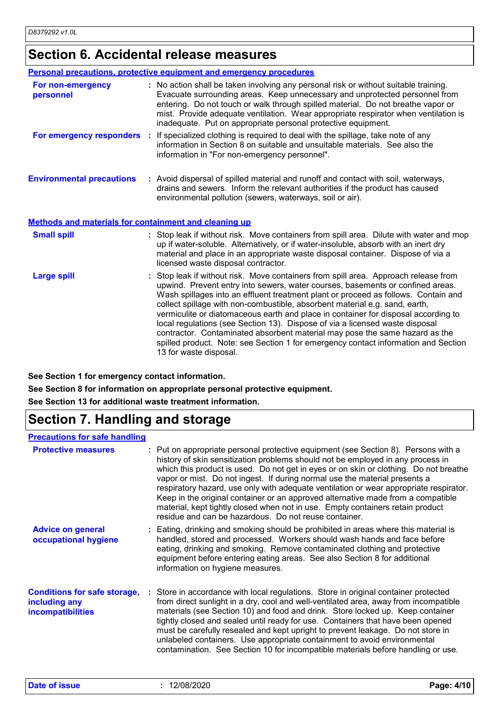### **Section 6. Accidental release measures**

|                                                       | <b>Personal precautions, protective equipment and emergency procedures</b>                                                                                                                                                                                                                                                                                                                                                                                                                                                                                                                                                                                                                                    |
|-------------------------------------------------------|---------------------------------------------------------------------------------------------------------------------------------------------------------------------------------------------------------------------------------------------------------------------------------------------------------------------------------------------------------------------------------------------------------------------------------------------------------------------------------------------------------------------------------------------------------------------------------------------------------------------------------------------------------------------------------------------------------------|
| For non-emergency<br>personnel                        | : No action shall be taken involving any personal risk or without suitable training.<br>Evacuate surrounding areas. Keep unnecessary and unprotected personnel from<br>entering. Do not touch or walk through spilled material. Do not breathe vapor or<br>mist. Provide adequate ventilation. Wear appropriate respirator when ventilation is<br>inadequate. Put on appropriate personal protective equipment.                                                                                                                                                                                                                                                                                               |
|                                                       | For emergency responders : If specialized clothing is required to deal with the spillage, take note of any<br>information in Section 8 on suitable and unsuitable materials. See also the<br>information in "For non-emergency personnel".                                                                                                                                                                                                                                                                                                                                                                                                                                                                    |
| <b>Environmental precautions</b>                      | : Avoid dispersal of spilled material and runoff and contact with soil, waterways,<br>drains and sewers. Inform the relevant authorities if the product has caused<br>environmental pollution (sewers, waterways, soil or air).                                                                                                                                                                                                                                                                                                                                                                                                                                                                               |
| Methods and materials for containment and cleaning up |                                                                                                                                                                                                                                                                                                                                                                                                                                                                                                                                                                                                                                                                                                               |
| <b>Small spill</b>                                    | : Stop leak if without risk. Move containers from spill area. Dilute with water and mop<br>up if water-soluble. Alternatively, or if water-insoluble, absorb with an inert dry<br>material and place in an appropriate waste disposal container. Dispose of via a<br>licensed waste disposal contractor.                                                                                                                                                                                                                                                                                                                                                                                                      |
| <b>Large spill</b>                                    | Stop leak if without risk. Move containers from spill area. Approach release from<br>upwind. Prevent entry into sewers, water courses, basements or confined areas.<br>Wash spillages into an effluent treatment plant or proceed as follows. Contain and<br>collect spillage with non-combustible, absorbent material e.g. sand, earth,<br>vermiculite or diatomaceous earth and place in container for disposal according to<br>local regulations (see Section 13). Dispose of via a licensed waste disposal<br>contractor. Contaminated absorbent material may pose the same hazard as the<br>spilled product. Note: see Section 1 for emergency contact information and Section<br>13 for waste disposal. |

**See Section 1 for emergency contact information.**

**See Section 8 for information on appropriate personal protective equipment.**

**See Section 13 for additional waste treatment information.**

# **Section 7. Handling and storage**

#### **Precautions for safe handling**

| <b>Protective measures</b>                                                       | : Put on appropriate personal protective equipment (see Section 8). Persons with a<br>history of skin sensitization problems should not be employed in any process in<br>which this product is used. Do not get in eyes or on skin or clothing. Do not breathe<br>vapor or mist. Do not ingest. If during normal use the material presents a<br>respiratory hazard, use only with adequate ventilation or wear appropriate respirator.<br>Keep in the original container or an approved alternative made from a compatible<br>material, kept tightly closed when not in use. Empty containers retain product<br>residue and can be hazardous. Do not reuse container. |
|----------------------------------------------------------------------------------|-----------------------------------------------------------------------------------------------------------------------------------------------------------------------------------------------------------------------------------------------------------------------------------------------------------------------------------------------------------------------------------------------------------------------------------------------------------------------------------------------------------------------------------------------------------------------------------------------------------------------------------------------------------------------|
| <b>Advice on general</b><br>occupational hygiene                                 | : Eating, drinking and smoking should be prohibited in areas where this material is<br>handled, stored and processed. Workers should wash hands and face before<br>eating, drinking and smoking. Remove contaminated clothing and protective<br>equipment before entering eating areas. See also Section 8 for additional<br>information on hygiene measures.                                                                                                                                                                                                                                                                                                         |
| <b>Conditions for safe storage,</b><br>including any<br><b>incompatibilities</b> | : Store in accordance with local regulations. Store in original container protected<br>from direct sunlight in a dry, cool and well-ventilated area, away from incompatible<br>materials (see Section 10) and food and drink. Store locked up. Keep container<br>tightly closed and sealed until ready for use. Containers that have been opened<br>must be carefully resealed and kept upright to prevent leakage. Do not store in<br>unlabeled containers. Use appropriate containment to avoid environmental<br>contamination. See Section 10 for incompatible materials before handling or use.                                                                   |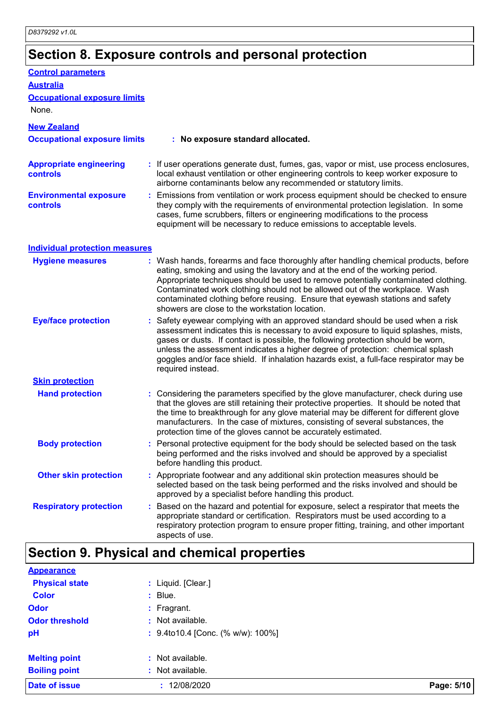# **Section 8. Exposure controls and personal protection**

| <b>Control parameters</b>                         |                                                                                                                                                                                                                                                                                                                                                                                                                                                                             |
|---------------------------------------------------|-----------------------------------------------------------------------------------------------------------------------------------------------------------------------------------------------------------------------------------------------------------------------------------------------------------------------------------------------------------------------------------------------------------------------------------------------------------------------------|
| <b>Australia</b>                                  |                                                                                                                                                                                                                                                                                                                                                                                                                                                                             |
| <b>Occupational exposure limits</b>               |                                                                                                                                                                                                                                                                                                                                                                                                                                                                             |
| None.                                             |                                                                                                                                                                                                                                                                                                                                                                                                                                                                             |
| <b>New Zealand</b>                                |                                                                                                                                                                                                                                                                                                                                                                                                                                                                             |
| <b>Occupational exposure limits</b>               | : No exposure standard allocated.                                                                                                                                                                                                                                                                                                                                                                                                                                           |
| <b>Appropriate engineering</b><br><b>controls</b> | : If user operations generate dust, fumes, gas, vapor or mist, use process enclosures,<br>local exhaust ventilation or other engineering controls to keep worker exposure to<br>airborne contaminants below any recommended or statutory limits.                                                                                                                                                                                                                            |
| <b>Environmental exposure</b><br><b>controls</b>  | : Emissions from ventilation or work process equipment should be checked to ensure<br>they comply with the requirements of environmental protection legislation. In some<br>cases, fume scrubbers, filters or engineering modifications to the process<br>equipment will be necessary to reduce emissions to acceptable levels.                                                                                                                                             |
| <b>Individual protection measures</b>             |                                                                                                                                                                                                                                                                                                                                                                                                                                                                             |
| <b>Hygiene measures</b>                           | : Wash hands, forearms and face thoroughly after handling chemical products, before<br>eating, smoking and using the lavatory and at the end of the working period.<br>Appropriate techniques should be used to remove potentially contaminated clothing.<br>Contaminated work clothing should not be allowed out of the workplace. Wash<br>contaminated clothing before reusing. Ensure that eyewash stations and safety<br>showers are close to the workstation location. |
| <b>Eye/face protection</b>                        | Safety eyewear complying with an approved standard should be used when a risk<br>assessment indicates this is necessary to avoid exposure to liquid splashes, mists,<br>gases or dusts. If contact is possible, the following protection should be worn,<br>unless the assessment indicates a higher degree of protection: chemical splash<br>goggles and/or face shield. If inhalation hazards exist, a full-face respirator may be<br>required instead.                   |
| <b>Skin protection</b>                            |                                                                                                                                                                                                                                                                                                                                                                                                                                                                             |
| <b>Hand protection</b>                            | : Considering the parameters specified by the glove manufacturer, check during use<br>that the gloves are still retaining their protective properties. It should be noted that<br>the time to breakthrough for any glove material may be different for different glove<br>manufacturers. In the case of mixtures, consisting of several substances, the<br>protection time of the gloves cannot be accurately estimated.                                                    |
| <b>Body protection</b>                            | Personal protective equipment for the body should be selected based on the task<br>being performed and the risks involved and should be approved by a specialist<br>before handling this product.                                                                                                                                                                                                                                                                           |
| <b>Other skin protection</b>                      | Appropriate footwear and any additional skin protection measures should be<br>selected based on the task being performed and the risks involved and should be<br>approved by a specialist before handling this product.                                                                                                                                                                                                                                                     |
| <b>Respiratory protection</b>                     | Based on the hazard and potential for exposure, select a respirator that meets the<br>appropriate standard or certification. Respirators must be used according to a<br>respiratory protection program to ensure proper fitting, training, and other important<br>aspects of use.                                                                                                                                                                                           |

| <b>Appearance</b>     |                                   |            |
|-----------------------|-----------------------------------|------------|
| <b>Physical state</b> | : Liquid. [Clear.]                |            |
| <b>Color</b>          | $:$ Blue.                         |            |
| <b>Odor</b>           | $:$ Fragrant.                     |            |
| <b>Odor threshold</b> | : Not available.                  |            |
| pH                    | : 9.4to10.4 [Conc. (% w/w): 100%] |            |
| <b>Melting point</b>  | : Not available.                  |            |
| <b>Boiling point</b>  | : Not available.                  |            |
| <b>Date of issue</b>  | 12/08/2020                        | Page: 5/10 |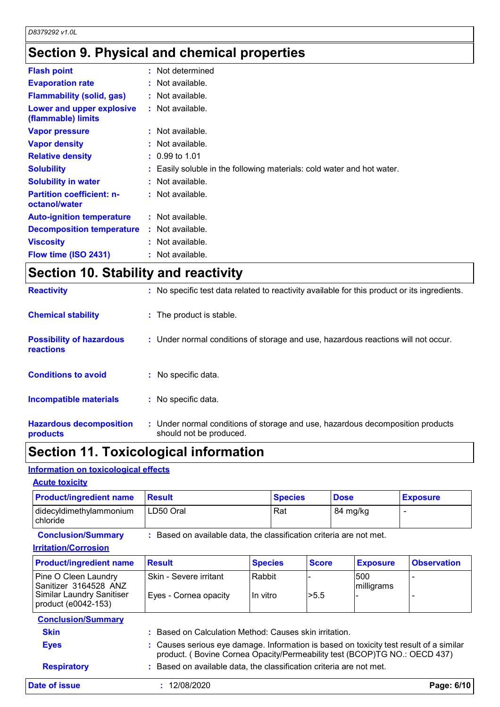# **Section 9. Physical and chemical properties**

| <b>Flash point</b>                                | : Not determined                                                       |
|---------------------------------------------------|------------------------------------------------------------------------|
| <b>Evaporation rate</b>                           | : Not available.                                                       |
| <b>Flammability (solid, gas)</b>                  | $:$ Not available.                                                     |
| Lower and upper explosive<br>(flammable) limits   | $:$ Not available.                                                     |
| <b>Vapor pressure</b>                             | $:$ Not available.                                                     |
| <b>Vapor density</b>                              | $:$ Not available.                                                     |
| <b>Relative density</b>                           | $: 0.99$ to 1.01                                                       |
| <b>Solubility</b>                                 | : Easily soluble in the following materials: cold water and hot water. |
| <b>Solubility in water</b>                        | $:$ Not available.                                                     |
| <b>Partition coefficient: n-</b><br>octanol/water | $:$ Not available.                                                     |
| <b>Auto-ignition temperature</b>                  | $:$ Not available.                                                     |
| <b>Decomposition temperature</b>                  | $:$ Not available.                                                     |
| <b>Viscosity</b>                                  | $:$ Not available.                                                     |
| Flow time (ISO 2431)                              | : Not available.                                                       |

### **Section 10. Stability and reactivity**

| <b>Hazardous decomposition</b><br>products   | : Under normal conditions of storage and use, hazardous decomposition products<br>should not be produced. |
|----------------------------------------------|-----------------------------------------------------------------------------------------------------------|
| <b>Incompatible materials</b>                | : No specific data.                                                                                       |
| <b>Conditions to avoid</b>                   | : No specific data.                                                                                       |
| <b>Possibility of hazardous</b><br>reactions | : Under normal conditions of storage and use, hazardous reactions will not occur.                         |
| <b>Chemical stability</b>                    | : The product is stable.                                                                                  |
| <b>Reactivity</b>                            | : No specific test data related to reactivity available for this product or its ingredients.              |

### **Section 11. Toxicological information**

#### **Information on toxicological effects**

#### **Acute toxicity**

| <b>Product/ingredient name</b>      | <b>Result</b> | <b>Species</b> | <b>Dose</b> | <b>Exposure</b> |
|-------------------------------------|---------------|----------------|-------------|-----------------|
| didecyldimethylammonium<br>chloride | LD50 Oral     | Rat            | 84 mg/kg    |                 |

**Conclusion/Summary :** Based on available data, the classification criteria are not met.

#### **Irritation/Corrosion**

| <b>Product/ingredient name</b>                          | <b>Result</b>                                                                                                                                                       | <b>Species</b> | <b>Score</b> | <b>Exposure</b>                                                     | <b>Observation</b> |
|---------------------------------------------------------|---------------------------------------------------------------------------------------------------------------------------------------------------------------------|----------------|--------------|---------------------------------------------------------------------|--------------------|
| Pine O Cleen Laundry<br>Sanitizer 3164528 ANZ           | Skin - Severe irritant                                                                                                                                              | Rabbit         |              | 1500<br>milligrams                                                  |                    |
| <b>Similar Laundry Sanitiser</b><br>product (e0042-153) | Eyes - Cornea opacity                                                                                                                                               | In vitro       | >5.5         |                                                                     |                    |
| <b>Conclusion/Summary</b>                               |                                                                                                                                                                     |                |              |                                                                     |                    |
| <b>Skin</b>                                             | : Based on Calculation Method: Causes skin irritation.                                                                                                              |                |              |                                                                     |                    |
| <b>Eyes</b>                                             | : Causes serious eye damage. Information is based on toxicity test result of a similar<br>product. (Bovine Cornea Opacity/Permeability test (BCOP)TG NO.: OECD 437) |                |              |                                                                     |                    |
|                                                         |                                                                                                                                                                     |                |              | : Based on available data, the classification criteria are not met. |                    |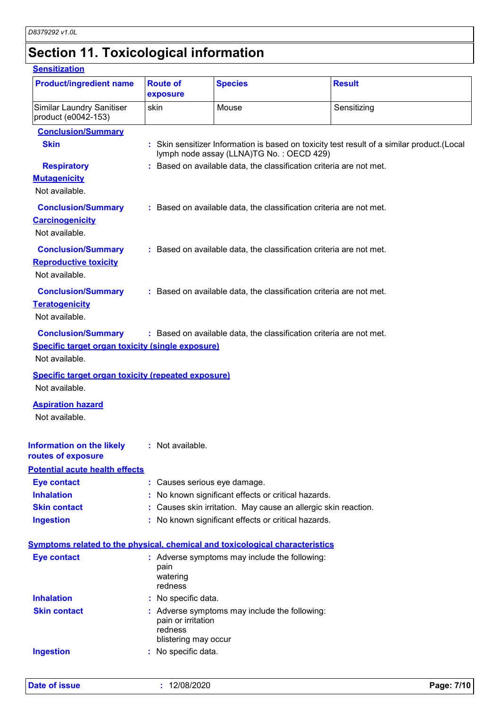# **Section 11. Toxicological information**

#### **Sensitization**

| <b>Product/ingredient name</b>                                                                         | <b>Route of</b><br>exposure                           | <b>Species</b>                                                      | <b>Result</b>                                                                               |  |
|--------------------------------------------------------------------------------------------------------|-------------------------------------------------------|---------------------------------------------------------------------|---------------------------------------------------------------------------------------------|--|
| <b>Similar Laundry Sanitiser</b><br>product (e0042-153)                                                | skin                                                  | Mouse                                                               | Sensitizing                                                                                 |  |
| <b>Conclusion/Summary</b>                                                                              |                                                       |                                                                     |                                                                                             |  |
| <b>Skin</b>                                                                                            |                                                       | lymph node assay (LLNA)TG No.: OECD 429)                            | : Skin sensitizer Information is based on toxicity test result of a similar product. (Local |  |
| <b>Respiratory</b>                                                                                     |                                                       | : Based on available data, the classification criteria are not met. |                                                                                             |  |
| <b>Mutagenicity</b><br>Not available.                                                                  |                                                       |                                                                     |                                                                                             |  |
| <b>Conclusion/Summary</b><br><b>Carcinogenicity</b><br>Not available.                                  |                                                       | : Based on available data, the classification criteria are not met. |                                                                                             |  |
| <b>Conclusion/Summary</b><br><b>Reproductive toxicity</b><br>Not available.                            |                                                       | : Based on available data, the classification criteria are not met. |                                                                                             |  |
| <b>Conclusion/Summary</b><br><b>Teratogenicity</b><br>Not available.                                   |                                                       | : Based on available data, the classification criteria are not met. |                                                                                             |  |
| <b>Conclusion/Summary</b><br><b>Specific target organ toxicity (single exposure)</b><br>Not available. |                                                       | : Based on available data, the classification criteria are not met. |                                                                                             |  |
| <b>Specific target organ toxicity (repeated exposure)</b><br>Not available.                            |                                                       |                                                                     |                                                                                             |  |
| <b>Aspiration hazard</b><br>Not available.                                                             |                                                       |                                                                     |                                                                                             |  |
| <b>Information on the likely</b><br>routes of exposure                                                 | : Not available.                                      |                                                                     |                                                                                             |  |
| <b>Potential acute health effects</b>                                                                  |                                                       |                                                                     |                                                                                             |  |
| <b>Eye contact</b>                                                                                     |                                                       | : Causes serious eye damage.                                        |                                                                                             |  |
| <b>Inhalation</b>                                                                                      |                                                       | No known significant effects or critical hazards.                   |                                                                                             |  |
| <b>Skin contact</b>                                                                                    |                                                       |                                                                     | : Causes skin irritation. May cause an allergic skin reaction.                              |  |
|                                                                                                        |                                                       |                                                                     |                                                                                             |  |
| <b>Ingestion</b>                                                                                       |                                                       | : No known significant effects or critical hazards.                 |                                                                                             |  |
| Symptoms related to the physical, chemical and toxicological characteristics                           |                                                       |                                                                     |                                                                                             |  |
| <b>Eye contact</b>                                                                                     | pain<br>watering<br>redness                           | : Adverse symptoms may include the following:                       |                                                                                             |  |
| <b>Inhalation</b>                                                                                      | : No specific data.                                   |                                                                     |                                                                                             |  |
| <b>Skin contact</b>                                                                                    | pain or irritation<br>redness<br>blistering may occur | : Adverse symptoms may include the following:                       |                                                                                             |  |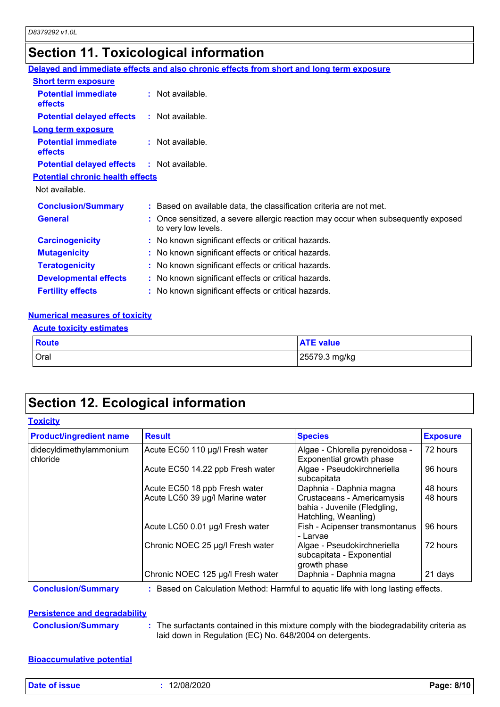# **Section 11. Toxicological information**

|                                                   | Delayed and immediate effects and also chronic effects from short and long term exposure                 |
|---------------------------------------------------|----------------------------------------------------------------------------------------------------------|
| <b>Short term exposure</b>                        |                                                                                                          |
| <b>Potential immediate</b><br><b>effects</b>      | $:$ Not available.                                                                                       |
| <b>Potential delayed effects</b>                  | : Not available.                                                                                         |
| <b>Long term exposure</b>                         |                                                                                                          |
| <b>Potential immediate</b><br>effects             | $:$ Not available.                                                                                       |
| <b>Potential delayed effects : Not available.</b> |                                                                                                          |
| <b>Potential chronic health effects</b>           |                                                                                                          |
| Not available.                                    |                                                                                                          |
| <b>Conclusion/Summary</b>                         | : Based on available data, the classification criteria are not met.                                      |
| <b>General</b>                                    | : Once sensitized, a severe allergic reaction may occur when subsequently exposed<br>to very low levels. |
| <b>Carcinogenicity</b>                            | : No known significant effects or critical hazards.                                                      |
| <b>Mutagenicity</b>                               | : No known significant effects or critical hazards.                                                      |
| <b>Teratogenicity</b>                             | : No known significant effects or critical hazards.                                                      |
| <b>Developmental effects</b>                      | : No known significant effects or critical hazards.                                                      |
| <b>Fertility effects</b>                          | : No known significant effects or critical hazards.                                                      |
|                                                   |                                                                                                          |

#### **Numerical measures of toxicity**

| Route       | <b>ATE value</b> |
|-------------|------------------|
| <b>Oral</b> | 25579.3 mg/kg    |

## **Section 12. Ecological information**

#### **Toxicity**

| <b>Product/ingredient name</b>      | <b>Result</b>                     | <b>Species</b>                                                                     | <b>Exposure</b> |
|-------------------------------------|-----------------------------------|------------------------------------------------------------------------------------|-----------------|
| didecyldimethylammonium<br>chloride | Acute EC50 110 µg/l Fresh water   | Algae - Chlorella pyrenoidosa -<br>Exponential growth phase                        | 72 hours        |
|                                     | Acute EC50 14.22 ppb Fresh water  | Algae - Pseudokirchneriella<br>subcapitata                                         | 96 hours        |
|                                     | Acute EC50 18 ppb Fresh water     | Daphnia - Daphnia magna                                                            | 48 hours        |
|                                     | Acute LC50 39 µg/l Marine water   | Crustaceans - Americamysis<br>bahia - Juvenile (Fledgling,<br>Hatchling, Weanling) | 48 hours        |
|                                     | Acute LC50 0.01 µg/l Fresh water  | Fish - Acipenser transmontanus<br>- Larvae                                         | 96 hours        |
|                                     | Chronic NOEC 25 µg/l Fresh water  | Algae - Pseudokirchneriella<br>subcapitata - Exponential<br>growth phase           | 72 hours        |
|                                     | Chronic NOEC 125 µg/l Fresh water | Daphnia - Daphnia magna                                                            | 21 days         |

**Conclusion/Summary :** Based on Calculation Method: Harmful to aquatic life with long lasting effects.

#### **Persistence and degradability**

**Conclusion/Summary :** The surfactants contained in this mixture comply with the biodegradability criteria as laid down in Regulation (EC) No. 648/2004 on detergents.

#### **Bioaccumulative potential**

**Date of issue :** 12/08/2020 **Page: 8/10**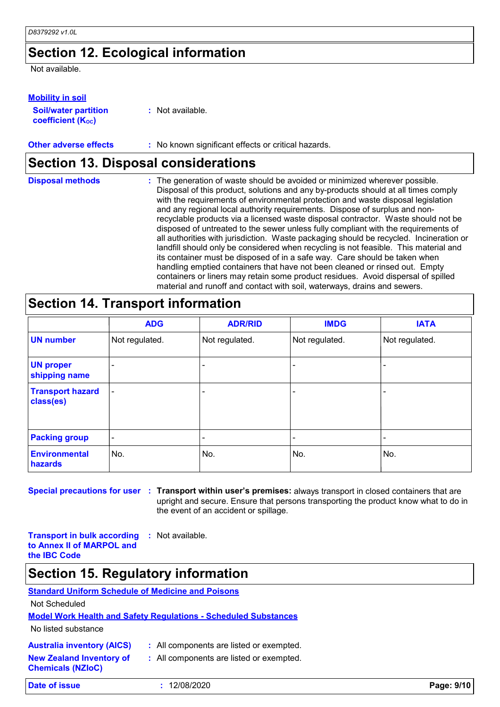### **Section 12. Ecological information**

Not available.

#### **Mobility in soil**

| <b>Soil/water partition</b> |  |
|-----------------------------|--|
| <b>coefficient (Koc)</b>    |  |

**:** Not available.

#### **Other adverse effects** : No known significant effects or critical hazards.

### **Section 13. Disposal considerations**

| <b>Disposal methods</b> | : The generation of waste should be avoided or minimized wherever possible.<br>Disposal of this product, solutions and any by-products should at all times comply<br>with the requirements of environmental protection and waste disposal legislation<br>and any regional local authority requirements. Dispose of surplus and non-<br>recyclable products via a licensed waste disposal contractor. Waste should not be<br>disposed of untreated to the sewer unless fully compliant with the requirements of<br>all authorities with jurisdiction. Waste packaging should be recycled. Incineration or<br>landfill should only be considered when recycling is not feasible. This material and<br>its container must be disposed of in a safe way. Care should be taken when<br>handling emptied containers that have not been cleaned or rinsed out. Empty<br>containers or liners may retain some product residues. Avoid dispersal of spilled |
|-------------------------|----------------------------------------------------------------------------------------------------------------------------------------------------------------------------------------------------------------------------------------------------------------------------------------------------------------------------------------------------------------------------------------------------------------------------------------------------------------------------------------------------------------------------------------------------------------------------------------------------------------------------------------------------------------------------------------------------------------------------------------------------------------------------------------------------------------------------------------------------------------------------------------------------------------------------------------------------|
|                         | material and runoff and contact with soil, waterways, drains and sewers.                                                                                                                                                                                                                                                                                                                                                                                                                                                                                                                                                                                                                                                                                                                                                                                                                                                                           |

### **Section 14. Transport information**

|                                      | <b>ADG</b>               | <b>ADR/RID</b> | <b>IMDG</b>    | <b>IATA</b>    |
|--------------------------------------|--------------------------|----------------|----------------|----------------|
| <b>UN number</b>                     | Not regulated.           | Not regulated. | Not regulated. | Not regulated. |
| <b>UN proper</b><br>shipping name    | $\overline{\phantom{0}}$ |                |                |                |
| <b>Transport hazard</b><br>class(es) |                          |                |                |                |
| <b>Packing group</b>                 | $\overline{\phantom{a}}$ | -              |                |                |
| <b>Environmental</b><br>hazards      | No.                      | No.            | No.            | No.            |

**Special precautions for user Transport within user's premises:** always transport in closed containers that are **:** upright and secure. Ensure that persons transporting the product know what to do in the event of an accident or spillage.

**Transport in bulk according to Annex II of MARPOL and the IBC Code :** Not available.

### **Section 15. Regulatory information**

### **Standard Uniform Schedule of Medicine and Poisons**

Not Scheduled

#### **Model Work Health and Safety Regulations - Scheduled Substances**

No listed substance

**Chemicals (NZIoC)**

|  | <b>Australia inventory (AICS)</b> |  |  |
|--|-----------------------------------|--|--|
|--|-----------------------------------|--|--|

- All components are listed or exempted.
- **New Zealand Inventory of :** All components are listed or exempted.